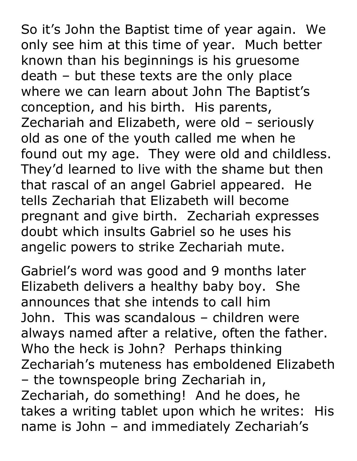So it's John the Baptist time of year again. We only see him at this time of year. Much better known than his beginnings is his gruesome death – but these texts are the only place where we can learn about John The Baptist's conception, and his birth. His parents, Zechariah and Elizabeth, were old – seriously old as one of the youth called me when he found out my age. They were old and childless. They'd learned to live with the shame but then that rascal of an angel Gabriel appeared. He tells Zechariah that Elizabeth will become pregnant and give birth. Zechariah expresses doubt which insults Gabriel so he uses his angelic powers to strike Zechariah mute.

Gabriel's word was good and 9 months later Elizabeth delivers a healthy baby boy. She announces that she intends to call him John. This was scandalous – children were always named after a relative, often the father. Who the heck is John? Perhaps thinking Zechariah's muteness has emboldened Elizabeth – the townspeople bring Zechariah in, Zechariah, do something! And he does, he takes a writing tablet upon which he writes: His name is John – and immediately Zechariah's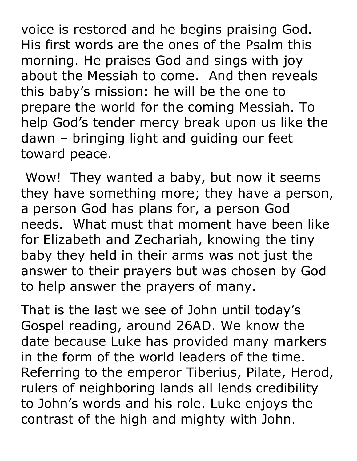voice is restored and he begins praising God. His first words are the ones of the Psalm this morning. He praises God and sings with joy about the Messiah to come. And then reveals this baby's mission: he will be the one to prepare the world for the coming Messiah. To help God's tender mercy break upon us like the dawn – bringing light and guiding our feet toward peace.

Wow! They wanted a baby, but now it seems they have something more; they have a person, a person God has plans for, a person God needs. What must that moment have been like for Elizabeth and Zechariah, knowing the tiny baby they held in their arms was not just the answer to their prayers but was chosen by God to help answer the prayers of many.

That is the last we see of John until today's Gospel reading, around 26AD. We know the date because Luke has provided many markers in the form of the world leaders of the time. Referring to the emperor Tiberius, Pilate, Herod, rulers of neighboring lands all lends credibility to John's words and his role. Luke enjoys the contrast of the high and mighty with John.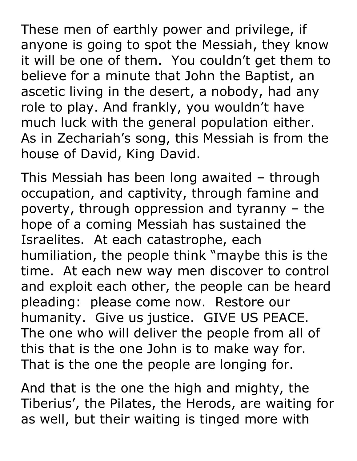These men of earthly power and privilege, if anyone is going to spot the Messiah, they know it will be one of them. You couldn't get them to believe for a minute that John the Baptist, an ascetic living in the desert, a nobody, had any role to play. And frankly, you wouldn't have much luck with the general population either. As in Zechariah's song, this Messiah is from the house of David, King David.

This Messiah has been long awaited – through occupation, and captivity, through famine and poverty, through oppression and tyranny – the hope of a coming Messiah has sustained the Israelites. At each catastrophe, each humiliation, the people think "maybe this is the time. At each new way men discover to control and exploit each other, the people can be heard pleading: please come now. Restore our humanity. Give us justice. GIVE US PEACE. The one who will deliver the people from all of this that is the one John is to make way for. That is the one the people are longing for.

And that is the one the high and mighty, the Tiberius', the Pilates, the Herods, are waiting for as well, but their waiting is tinged more with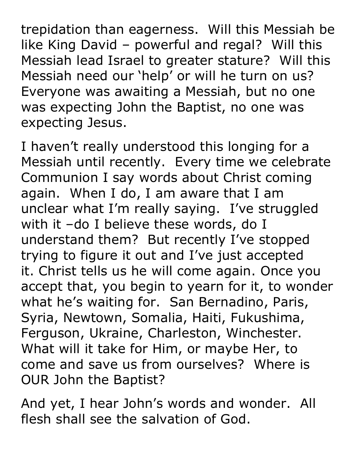trepidation than eagerness. Will this Messiah be like King David – powerful and regal? Will this Messiah lead Israel to greater stature? Will this Messiah need our 'help' or will he turn on us? Everyone was awaiting a Messiah, but no one was expecting John the Baptist, no one was expecting Jesus.

I haven't really understood this longing for a Messiah until recently. Every time we celebrate Communion I say words about Christ coming again. When I do, I am aware that I am unclear what I'm really saying. I've struggled with it –do I believe these words, do I understand them? But recently I've stopped trying to figure it out and I've just accepted it. Christ tells us he will come again. Once you accept that, you begin to yearn for it, to wonder what he's waiting for. San Bernadino, Paris, Syria, Newtown, Somalia, Haiti, Fukushima, Ferguson, Ukraine, Charleston, Winchester. What will it take for Him, or maybe Her, to come and save us from ourselves? Where is OUR John the Baptist?

And yet, I hear John's words and wonder. All flesh shall see the salvation of God.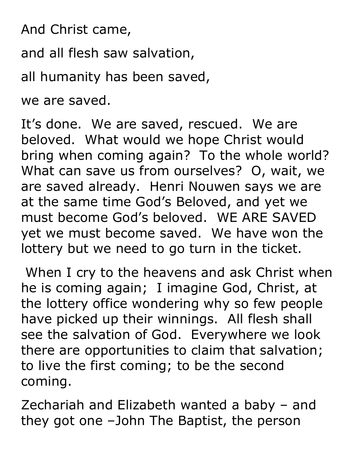And Christ came,

and all flesh saw salvation,

all humanity has been saved,

we are saved.

It's done. We are saved, rescued. We are beloved. What would we hope Christ would bring when coming again? To the whole world? What can save us from ourselves? O, wait, we are saved already. Henri Nouwen says we are at the same time God's Beloved, and yet we must become God's beloved. WE ARE SAVED yet we must become saved. We have won the lottery but we need to go turn in the ticket.

When I cry to the heavens and ask Christ when he is coming again; I imagine God, Christ, at the lottery office wondering why so few people have picked up their winnings. All flesh shall see the salvation of God. Everywhere we look there are opportunities to claim that salvation; to live the first coming; to be the second coming.

Zechariah and Elizabeth wanted a baby – and they got one –John The Baptist, the person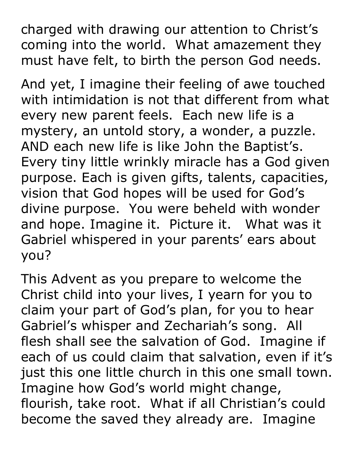charged with drawing our attention to Christ's coming into the world. What amazement they must have felt, to birth the person God needs.

And yet, I imagine their feeling of awe touched with intimidation is not that different from what every new parent feels. Each new life is a mystery, an untold story, a wonder, a puzzle. AND each new life is like John the Baptist's. Every tiny little wrinkly miracle has a God given purpose. Each is given gifts, talents, capacities, vision that God hopes will be used for God's divine purpose. You were beheld with wonder and hope. Imagine it. Picture it. What was it Gabriel whispered in your parents' ears about you?

This Advent as you prepare to welcome the Christ child into your lives, I yearn for you to claim your part of God's plan, for you to hear Gabriel's whisper and Zechariah's song. All flesh shall see the salvation of God. Imagine if each of us could claim that salvation, even if it's just this one little church in this one small town. Imagine how God's world might change, flourish, take root. What if all Christian's could become the saved they already are. Imagine